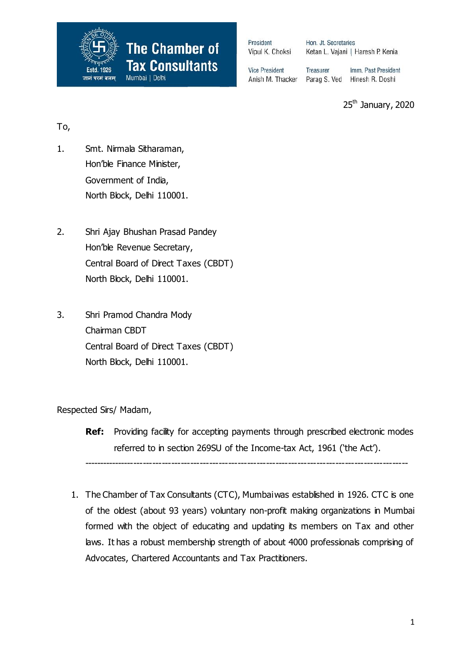

President Vipul K. Choksi Hon. Jt. Secretaries Ketan L. Vajani | Haresh P. Kenia

**Vice President** Anish M. Thacker Treasurer Imm. Past President Parag S. Ved Hinesh R. Doshi

25<sup>th</sup> January, 2020

## To,

- 1. Smt. Nirmala Sitharaman, Hon'ble Finance Minister, Government of India, North Block, Delhi 110001.
- 2. Shri Ajay Bhushan Prasad Pandey Hon'ble Revenue Secretary, Central Board of Direct Taxes (CBDT) North Block, Delhi 110001.
- 3. Shri Pramod Chandra Mody Chairman CBDT Central Board of Direct Taxes (CBDT) North Block, Delhi 110001.

Respected Sirs/ Madam,

**Ref:** Providing facility for accepting payments through prescribed electronic modes referred to in section 269SU of the Income-tax Act, 1961 ('the Act').

-------------------------------------------------------------------------------------------------------

1. The Chamber of Tax Consultants (CTC), Mumbai was established in 1926. CTC is one of the oldest (about 93 years) voluntary non-profit making organizations in Mumbai formed with the object of educating and updating its members on Tax and other laws. It has a robust membership strength of about 4000 professionals comprising of Advocates, Chartered Accountants and Tax Practitioners.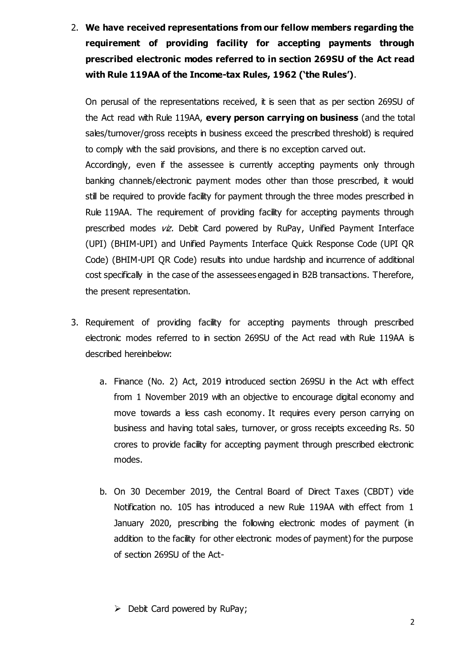2. **We have received representations from our fellow members regarding the requirement of providing facility for accepting payments through prescribed electronic modes referred to in section 269SU of the Act read with Rule 119AA of the Income-tax Rules, 1962 ('the Rules')**.

On perusal of the representations received, it is seen that as per section 269SU of the Act read with Rule 119AA, **every person carrying on business** (and the total sales/turnover/gross receipts in business exceed the prescribed threshold) is required to comply with the said provisions, and there is no exception carved out.

Accordingly, even if the assessee is currently accepting payments only through banking channels/electronic payment modes other than those prescribed, it would still be required to provide facility for payment through the three modes prescribed in Rule 119AA. The requirement of providing facility for accepting payments through prescribed modes  $v\dot{z}$ . Debit Card powered by RuPay, Unified Payment Interface (UPI) (BHIM-UPI) and Unified Payments Interface Quick Response Code (UPI QR Code) (BHIM-UPI QR Code) results into undue hardship and incurrence of additional cost specifically in the case of the assessees engaged in B2B transactions. Therefore, the present representation.

- 3. Requirement of providing facility for accepting payments through prescribed electronic modes referred to in section 269SU of the Act read with Rule 119AA is described hereinbelow:
	- a. Finance (No. 2) Act, 2019 introduced section 269SU in the Act with effect from 1 November 2019 with an objective to encourage digital economy and move towards a less cash economy. It requires every person carrying on business and having total sales, turnover, or gross receipts exceeding Rs. 50 crores to provide facility for accepting payment through prescribed electronic modes.
	- b. On 30 December 2019, the Central Board of Direct Taxes (CBDT) vide Notification no. 105 has introduced a new Rule 119AA with effect from 1 January 2020, prescribing the following electronic modes of payment (in addition to the facility for other electronic modes of payment) for the purpose of section 269SU of the Act-

 $\triangleright$  Debit Card powered by RuPay;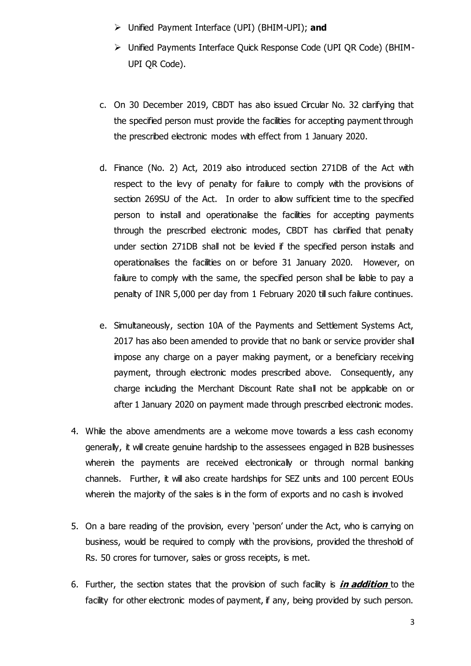- Unified Payment Interface (UPI) (BHIM-UPI); **and**
- Unified Payments Interface Quick Response Code (UPI QR Code) (BHIM-UPI QR Code).
- c. On 30 December 2019, CBDT has also issued Circular No. 32 clarifying that the specified person must provide the facilities for accepting payment through the prescribed electronic modes with effect from 1 January 2020.
- d. Finance (No. 2) Act, 2019 also introduced section 271DB of the Act with respect to the levy of penalty for failure to comply with the provisions of section 269SU of the Act. In order to allow sufficient time to the specified person to install and operationalise the facilities for accepting payments through the prescribed electronic modes, CBDT has clarified that penalty under section 271DB shall not be levied if the specified person installs and operationalises the facilities on or before 31 January 2020. However, on failure to comply with the same, the specified person shall be liable to pay a penalty of INR 5,000 per day from 1 February 2020 till such failure continues.
- e. Simultaneously, section 10A of the Payments and Settlement Systems Act, 2017 has also been amended to provide that no bank or service provider shall impose any charge on a payer making payment, or a beneficiary receiving payment, through electronic modes prescribed above. Consequently, any charge including the Merchant Discount Rate shall not be applicable on or after 1 January 2020 on payment made through prescribed electronic modes.
- 4. While the above amendments are a welcome move towards a less cash economy generally, it will create genuine hardship to the assessees engaged in B2B businesses wherein the payments are received electronically or through normal banking channels. Further, it will also create hardships for SEZ units and 100 percent EOUs wherein the majority of the sales is in the form of exports and no cash is involved
- 5. On a bare reading of the provision, every 'person' under the Act, who is carrying on business, would be required to comply with the provisions, provided the threshold of Rs. 50 crores for turnover, sales or gross receipts, is met.
- 6. Further, the section states that the provision of such facility is **in addition** to the facility for other electronic modes of payment, if any, being provided by such person.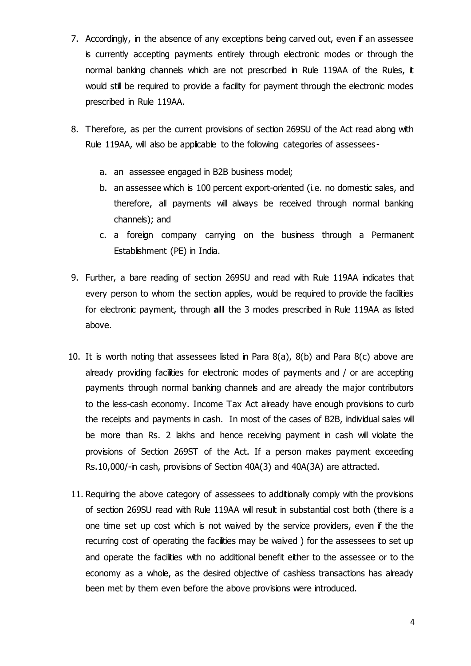- 7. Accordingly, in the absence of any exceptions being carved out, even if an assessee is currently accepting payments entirely through electronic modes or through the normal banking channels which are not prescribed in Rule 119AA of the Rules, it would still be required to provide a facility for payment through the electronic modes prescribed in Rule 119AA.
- 8. Therefore, as per the current provisions of section 269SU of the Act read along with Rule 119AA, will also be applicable to the following categories of assessees
	- a. an assessee engaged in B2B business model;
	- b. an assessee which is 100 percent export-oriented (i.e. no domestic sales, and therefore, all payments will always be received through normal banking channels); and
	- c. a foreign company carrying on the business through a Permanent Establishment (PE) in India.
- 9. Further, a bare reading of section 269SU and read with Rule 119AA indicates that every person to whom the section applies, would be required to provide the facilities for electronic payment, through **all** the 3 modes prescribed in Rule 119AA as listed above.
- 10. It is worth noting that assessees listed in Para  $8(a)$ ,  $8(b)$  and Para  $8(c)$  above are already providing facilities for electronic modes of payments and / or are accepting payments through normal banking channels and are already the major contributors to the less-cash economy. Income Tax Act already have enough provisions to curb the receipts and payments in cash. In most of the cases of B2B, individual sales will be more than Rs. 2 lakhs and hence receiving payment in cash will violate the provisions of Section 269ST of the Act. If a person makes payment exceeding Rs.10,000/-in cash, provisions of Section 40A(3) and 40A(3A) are attracted.
- 11. Requiring the above category of assessees to additionally comply with the provisions of section 269SU read with Rule 119AA will result in substantial cost both (there is a one time set up cost which is not waived by the service providers, even if the the recurring cost of operating the facilities may be waived ) for the assessees to set up and operate the facilities with no additional benefit either to the assessee or to the economy as a whole, as the desired objective of cashless transactions has already been met by them even before the above provisions were introduced.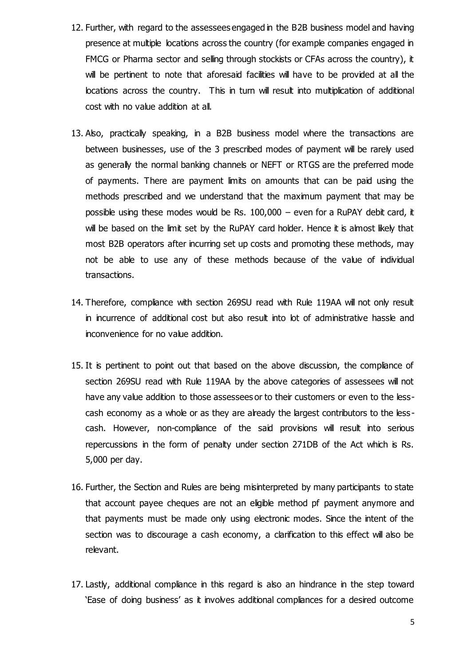- 12. Further, with regard to the assessees engaged in the B2B business model and having presence at multiple locations across the country (for example companies engaged in FMCG or Pharma sector and selling through stockists or CFAs across the country), it will be pertinent to note that aforesaid facilities will have to be provided at all the locations across the country. This in turn will result into multiplication of additional cost with no value addition at all.
- 13. Also, practically speaking, in a B2B business model where the transactions are between businesses, use of the 3 prescribed modes of payment will be rarely used as generally the normal banking channels or NEFT or RTGS are the preferred mode of payments. There are payment limits on amounts that can be paid using the methods prescribed and we understand that the maximum payment that may be possible using these modes would be Rs.  $100,000 -$  even for a RuPAY debit card, it will be based on the limit set by the RuPAY card holder. Hence it is almost likely that most B2B operators after incurring set up costs and promoting these methods, may not be able to use any of these methods because of the value of individual transactions.
- 14. Therefore, compliance with section 269SU read with Rule 119AA will not only result in incurrence of additional cost but also result into lot of administrative hassle and inconvenience for no value addition.
- 15. It is pertinent to point out that based on the above discussion, the compliance of section 269SU read with Rule 119AA by the above categories of assessees will not have any value addition to those assessees or to their customers or even to the lesscash economy as a whole or as they are already the largest contributors to the less cash. However, non-compliance of the said provisions will result into serious repercussions in the form of penalty under section 271DB of the Act which is Rs. 5,000 per day.
- 16. Further, the Section and Rules are being misinterpreted by many participants to state that account payee cheques are not an eligible method pf payment anymore and that payments must be made only using electronic modes. Since the intent of the section was to discourage a cash economy, a clarification to this effect will also be relevant.
- 17. Lastly, additional compliance in this regard is also an hindrance in the step toward 'Ease of doing business' as it involves additional compliances for a desired outcome